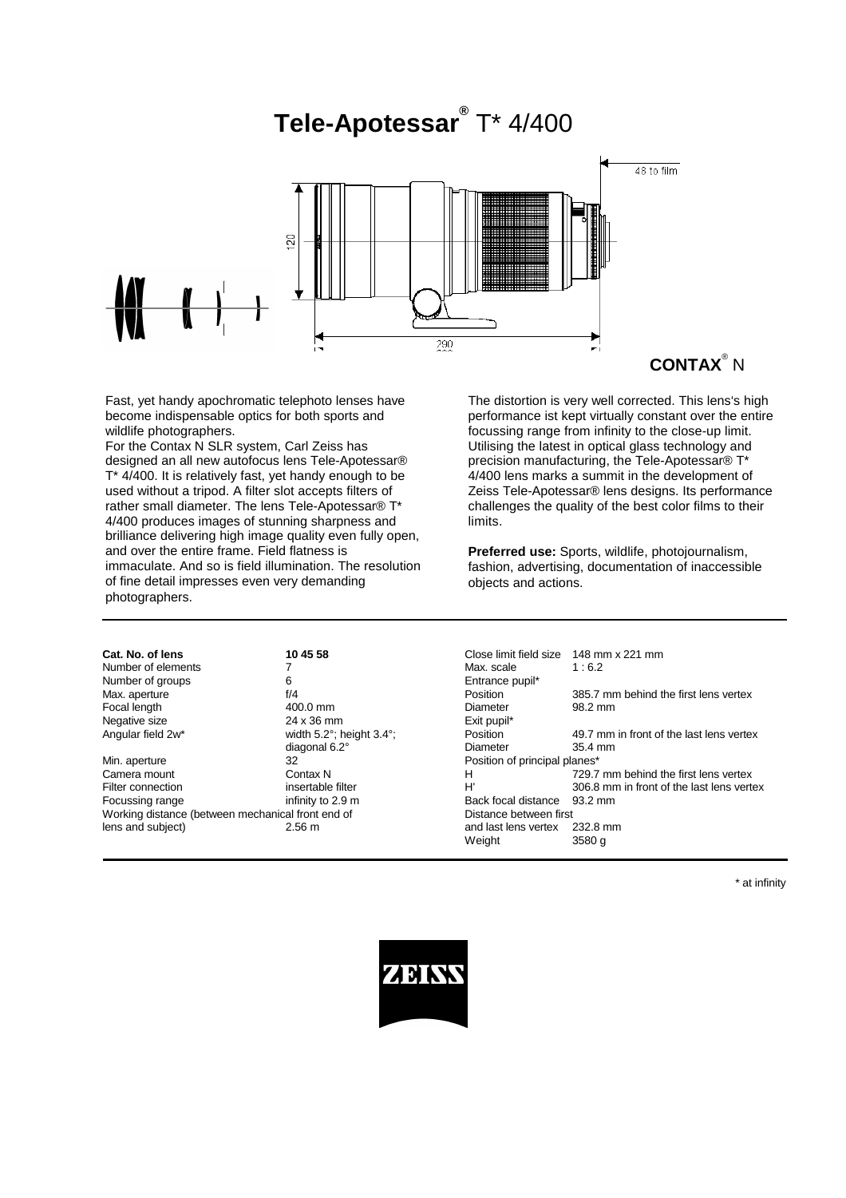# **Tele-Apotessar®** T\* 4/400



Fast, yet handy apochromatic telephoto lenses have become indispensable optics for both sports and wildlife photographers.

For the Contax N SLR system, Carl Zeiss has designed an all new autofocus lens Tele-Apotessar® T\* 4/400. It is relatively fast, yet handy enough to be used without a tripod. A filter slot accepts filters of rather small diameter. The lens Tele-Apotessar® T\* 4/400 produces images of stunning sharpness and brilliance delivering high image quality even fully open, and over the entire frame. Field flatness is immaculate. And so is field illumination. The resolution of fine detail impresses even very demanding photographers.

The distortion is very well corrected. This lens's high performance ist kept virtually constant over the entire focussing range from infinity to the close-up limit. Utilising the latest in optical glass technology and precision manufacturing, the Tele-Apotessar® T\* 4/400 lens marks a summit in the development of Zeiss Tele-Apotessar® lens designs. Its performance challenges the quality of the best color films to their limits.

**Preferred use:** Sports, wildlife, photojournalism, fashion, advertising, documentation of inaccessible objects and actions.

Number of groups 6 Focal length  $\begin{array}{cc}\n 400.0 \text{ mm} \\
 24 \times 36 \text{ mm}\n\end{array}$  Exit pupil\* Negative size  $24 \times 36$  mm

Min. aperture **32** 32 Position of principal planes<sup>\*</sup> Focussing range infinity to 2.9 m Back focal distance 93.2 mm Working distance (between mechanical front end of Distance between first lens and subject) 2.56 m and last lens vertex 232.8 mm

**Cat. No. of lens 10 45 58** Close limit field size 148 mm x 221 mm Number of elements  $\begin{array}{ccc} 7 & 6.2 \\ 1 & 6.2 \end{array}$ <br>Number of groups  $\begin{array}{ccc} 6 & 6 \end{array}$ Max. aperture f/4 and the first lens vertex<br>
Focal length and the first lens vertex<br>
Focal length and the first lens vertex<br>
Position 385.7 mm behind the first lens vertex<br>
98.2 mm Angular field 2w\* width 5.2°; height 3.4°; Position 49.7 mm in front of the last lens vertex diagonal 6.2° **Diameter** 35.4 mm<br>32<br>**Dosition of principal planes\*** Camera mount Contax N<br>
Filter connection 
Filter connection

Filter connection

Contax N<br>
H' 306.8 mm in front of the last lens vertex Filter Filter H' 306.8 mm in front of the last lens vertex<br>infinity to 2.9 m<br>Back focal distance 93.2 mm Weight 3580 g

\* at infinity